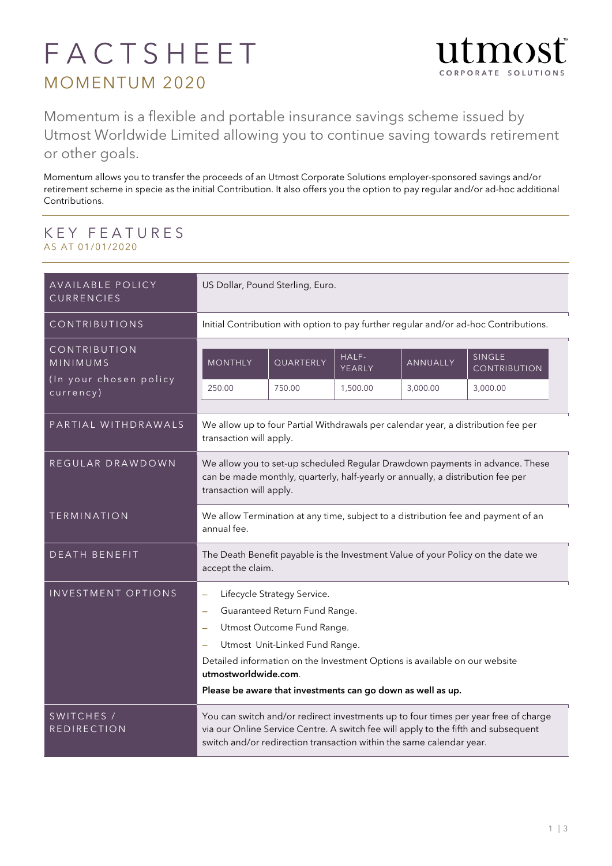## FACTSHEET MOMENTUM 2020



Momentum is a flexible and portable insurance savings scheme issued by Utmost Worldwide Limited allowing you to continue saving towards retirement or other goals.

Momentum allows you to transfer the proceeds of an Utmost Corporate Solutions employer-sponsored savings and/or retirement scheme in specie as the initial Contribution. It also offers you the option to pay regular and/or ad-hoc additional Contributions.

## KEY FEATURES AS AT 01/01/2020

| AVAILABLE POLICY<br>CURRENCIES                                  | US Dollar, Pound Sterling, Euro.                                                                                                                                                                                                                  |           |                 |          |                               |  |  |
|-----------------------------------------------------------------|---------------------------------------------------------------------------------------------------------------------------------------------------------------------------------------------------------------------------------------------------|-----------|-----------------|----------|-------------------------------|--|--|
| CONTRIBUTIONS                                                   | Initial Contribution with option to pay further regular and/or ad-hoc Contributions.                                                                                                                                                              |           |                 |          |                               |  |  |
| CONTRIBUTION<br>MINIMUMS<br>(In your chosen policy<br>currency) | <b>MONTHLY</b>                                                                                                                                                                                                                                    | QUARTERLY | HALF-<br>YEARLY | ANNUALLY | SINGLE<br><b>CONTRIBUTION</b> |  |  |
|                                                                 | 250.00                                                                                                                                                                                                                                            | 750.00    | 1,500.00        | 3,000.00 | 3,000.00                      |  |  |
| PARTIAL WITHDRAWALS                                             | We allow up to four Partial Withdrawals per calendar year, a distribution fee per<br>transaction will apply.                                                                                                                                      |           |                 |          |                               |  |  |
| REGULAR DRAWDOWN                                                | We allow you to set-up scheduled Regular Drawdown payments in advance. These<br>can be made monthly, quarterly, half-yearly or annually, a distribution fee per<br>transaction will apply.                                                        |           |                 |          |                               |  |  |
| <b>TERMINATION</b>                                              | We allow Termination at any time, subject to a distribution fee and payment of an<br>annual fee.                                                                                                                                                  |           |                 |          |                               |  |  |
| <b>DEATH BENEFIT</b>                                            | The Death Benefit payable is the Investment Value of your Policy on the date we<br>accept the claim.                                                                                                                                              |           |                 |          |                               |  |  |
| INVESTMENT OPTIONS                                              | Lifecycle Strategy Service.<br>$\equiv$                                                                                                                                                                                                           |           |                 |          |                               |  |  |
|                                                                 | Guaranteed Return Fund Range.<br>÷<br>Utmost Outcome Fund Range.<br>÷<br>Utmost Unit-Linked Fund Range.<br>Detailed information on the Investment Options is available on our website                                                             |           |                 |          |                               |  |  |
|                                                                 |                                                                                                                                                                                                                                                   |           |                 |          |                               |  |  |
|                                                                 |                                                                                                                                                                                                                                                   |           |                 |          |                               |  |  |
|                                                                 | utmostworldwide.com.<br>Please be aware that investments can go down as well as up.                                                                                                                                                               |           |                 |          |                               |  |  |
|                                                                 |                                                                                                                                                                                                                                                   |           |                 |          |                               |  |  |
| SWITCHES /<br><b>REDIRECTION</b>                                | You can switch and/or redirect investments up to four times per year free of charge<br>via our Online Service Centre. A switch fee will apply to the fifth and subsequent<br>switch and/or redirection transaction within the same calendar year. |           |                 |          |                               |  |  |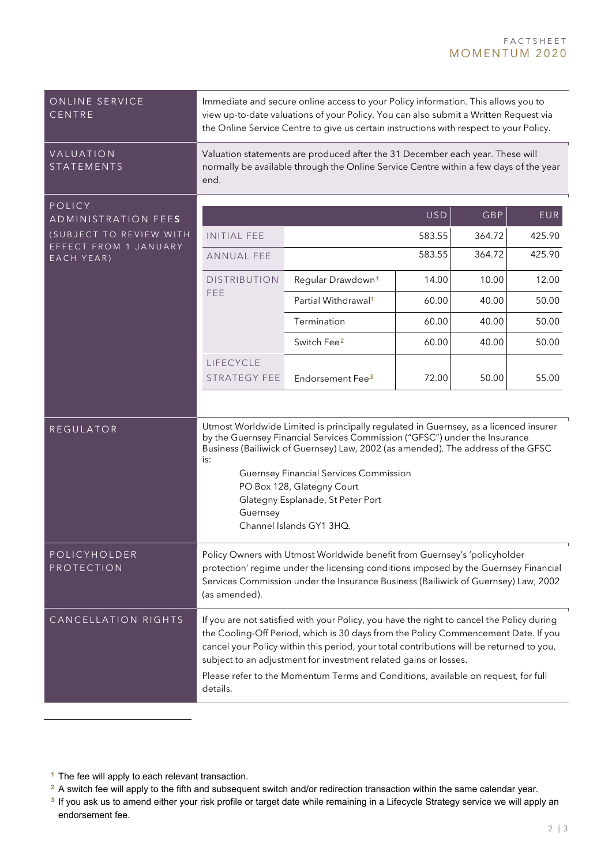<span id="page-1-0"></span>

| ONLINE SERVICE<br>CENTRE                                                                        | Immediate and secure online access to your Policy information. This allows you to<br>view up-to-date valuations of your Policy. You can also submit a Written Request via<br>the Online Service Centre to give us certain instructions with respect to your Policy.                                                                                                                                                                              |                                 |       |       |        |  |  |
|-------------------------------------------------------------------------------------------------|--------------------------------------------------------------------------------------------------------------------------------------------------------------------------------------------------------------------------------------------------------------------------------------------------------------------------------------------------------------------------------------------------------------------------------------------------|---------------------------------|-------|-------|--------|--|--|
| VALUATION<br><b>STATEMENTS</b>                                                                  | Valuation statements are produced after the 31 December each year. These will<br>normally be available through the Online Service Centre within a few days of the year<br>end.                                                                                                                                                                                                                                                                   |                                 |       |       |        |  |  |
| POLICY<br>ADMINISTRATION FEES<br>(SUBJECT TO REVIEW WITH<br>EFFECT FROM 1 JANUARY<br>EACH YEAR) | <b>USD</b><br>GBP<br>EUR                                                                                                                                                                                                                                                                                                                                                                                                                         |                                 |       |       |        |  |  |
|                                                                                                 | <b>INITIAL FEE</b>                                                                                                                                                                                                                                                                                                                                                                                                                               | 583.55<br>364.72                |       |       | 425.90 |  |  |
|                                                                                                 | <b>ANNUAL FEE</b>                                                                                                                                                                                                                                                                                                                                                                                                                                | 583.55<br>364.72                |       |       | 425.90 |  |  |
|                                                                                                 | <b>DISTRIBUTION</b><br>FEE                                                                                                                                                                                                                                                                                                                                                                                                                       | Regular Drawdown <sup>1</sup>   | 14.00 | 10.00 | 12.00  |  |  |
|                                                                                                 |                                                                                                                                                                                                                                                                                                                                                                                                                                                  | Partial Withdrawal <sup>1</sup> | 60.00 | 40.00 | 50.00  |  |  |
|                                                                                                 |                                                                                                                                                                                                                                                                                                                                                                                                                                                  | Termination                     | 60.00 | 40.00 | 50.00  |  |  |
|                                                                                                 |                                                                                                                                                                                                                                                                                                                                                                                                                                                  | Switch Fee <sup>2</sup>         | 60.00 | 40.00 | 50.00  |  |  |
|                                                                                                 | LIFECYCLE<br><b>STRATEGY FEE</b>                                                                                                                                                                                                                                                                                                                                                                                                                 | Endorsement Fee <sup>3</sup>    | 72.00 | 50.00 | 55.00  |  |  |
|                                                                                                 |                                                                                                                                                                                                                                                                                                                                                                                                                                                  |                                 |       |       |        |  |  |
| <b>REGULATOR</b>                                                                                | Utmost Worldwide Limited is principally regulated in Guernsey, as a licenced insurer<br>by the Guernsey Financial Services Commission ("GFSC") under the Insurance<br>Business (Bailiwick of Guernsey) Law, 2002 (as amended). The address of the GFSC<br>is:<br><b>Guernsey Financial Services Commission</b><br>PO Box 128, Glategny Court<br>Glategny Esplanade, St Peter Port<br>Guernsey<br>Channel Islands GY1 3HQ.                        |                                 |       |       |        |  |  |
| POLICYHOLDER<br>PROTECTION                                                                      | Policy Owners with Utmost Worldwide benefit from Guernsey's 'policyholder<br>protection' regime under the licensing conditions imposed by the Guernsey Financial<br>Services Commission under the Insurance Business (Bailiwick of Guernsey) Law, 2002<br>(as amended).                                                                                                                                                                          |                                 |       |       |        |  |  |
| CANCELLATION RIGHTS                                                                             | If you are not satisfied with your Policy, you have the right to cancel the Policy during<br>the Cooling-Off Period, which is 30 days from the Policy Commencement Date. If you<br>cancel your Policy within this period, your total contributions will be returned to you,<br>subject to an adjustment for investment related gains or losses.<br>Please refer to the Momentum Terms and Conditions, available on request, for full<br>details. |                                 |       |       |        |  |  |

 $\overline{a}$ 

<span id="page-1-1"></span>**<sup>1</sup>** The fee will apply to each relevant transaction.

<span id="page-1-2"></span><sup>&</sup>lt;sup>2</sup> A switch fee will apply to the fifth and subsequent switch and/or redirection transaction within the same calendar year.

<span id="page-1-3"></span><sup>&</sup>lt;sup>3</sup> If you ask us to amend either your risk profile or target date while remaining in a Lifecycle Strategy service we will apply an endorsement fee.